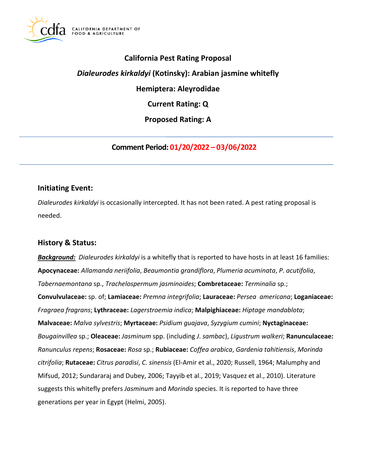

## **California Pest Rating Proposal**

## *Dialeurodes kirkaldyi* **(Kotinsky): Arabian jasmine whitefly**

**Hemiptera: Aleyrodidae** 

**Current Rating: Q** 

**Proposed Rating: A** 

**Comment Period: 01/20/2022 – 03/06/2022** 

### **Initiating Event:**

*Dialeurodes kirkaldyi* is occasionally intercepted. It has not been rated. A pest rating proposal is needed.

## **History & Status:**

*Background: Dialeurodes kirkaldyi* is a whitefly that is reported to have hosts in at least 16 families: **Apocynaceae:** *Allamanda neriifolia*, *Beaumontia grandiflora*, *Plumeria acuminata*, *P*. *acutifolia*, *Tabernaemontana* sp., *Trachelospermum jasminoides*; **Combretaceae:** *Terminalia* sp.; **Convulvulaceae:** sp. of; **Lamiaceae:** *Premna integrifolia*; **Lauraceae:** *Persea americana*; **Loganiaceae:**  *Fragraea fragrans*; **Lythraceae:** *Lagerstroemia indica*; **Malpighiaceae:** *Hiptage mandablota*; **Malvaceae:** *Malva sylvestris*; **Myrtaceae:** *Psidium guajava*, *Syzygium cumini*; **Nyctaginaceae:**  *Bougainvillea* sp.; **Oleaceae:** *Jasminum* spp. (including *J*. *sambac*), *Ligustrum walkeri*; **Ranunculaceae:**  *Ranunculus repens*; **Rosaceae:** *Rosa* sp.; **Rubiaceae:** *Coffea arabica*, *Gardenia tahitiensis*, *Morinda citrifolia*; **Rutaceae:** *Citrus paradisi*, *C*. *sinensis* (El-Amir et al., 2020; Russell, 1964; Malumphy and Mifsud, 2012; Sundararaj and Dubey, 2006; Tayyib et al., 2019; Vasquez et al., 2010). Literature suggests this whitefly prefers *Jasminum* and *Morinda* species. It is reported to have three generations per year in Egypt (Helmi, 2005).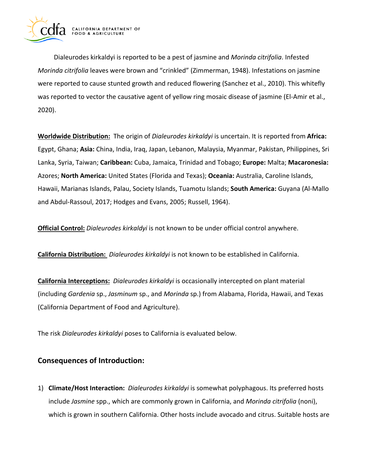

Dialeurodes kirkaldyi is reported to be a pest of jasmine and *Morinda citrifolia*. Infested *Morinda citrifolia* leaves were brown and "crinkled" (Zimmerman, 1948). Infestations on jasmine were reported to cause stunted growth and reduced flowering (Sanchez et al., 2010). This whitefly was reported to vector the causative agent of yellow ring mosaic disease of jasmine (El-Amir et al., 2020).

**Worldwide Distribution:** The origin of *Dialeurodes kirkaldyi* is uncertain. It is reported from **Africa:**  Egypt, Ghana; **Asia:** China, India, Iraq, Japan, Lebanon, Malaysia, Myanmar, Pakistan, Philippines, Sri Lanka, Syria, Taiwan; **Caribbean:** Cuba, Jamaica, Trinidad and Tobago; **Europe:** Malta; **Macaronesia:**  Azores; **North America:** United States (Florida and Texas); **Oceania:** Australia, Caroline Islands, Hawaii, Marianas Islands, Palau, Society Islands, Tuamotu Islands; **South America:** Guyana (Al-Mallo and Abdul-Rassoul, 2017; Hodges and Evans, 2005; Russell, 1964).

**Official Control:** *Dialeurodes kirkaldyi* is not known to be under official control anywhere.

**California Distribution:** *Dialeurodes kirkaldyi* is not known to be established in California.

**California Interceptions:** *Dialeurodes kirkaldyi* is occasionally intercepted on plant material (including *Gardenia* sp., *Jasminum* sp., and *Morinda* sp.) from Alabama, Florida, Hawaii, and Texas (California Department of Food and Agriculture).

The risk *Dialeurodes kirkaldyi* poses to California is evaluated below.

## **Consequences of Introduction:**

1) **Climate/Host Interaction:** *Dialeurodes kirkaldyi* is somewhat polyphagous. Its preferred hosts include *Jasmine* spp., which are commonly grown in California, and *Morinda citrifolia* (noni), which is grown in southern California. Other hosts include avocado and citrus. Suitable hosts are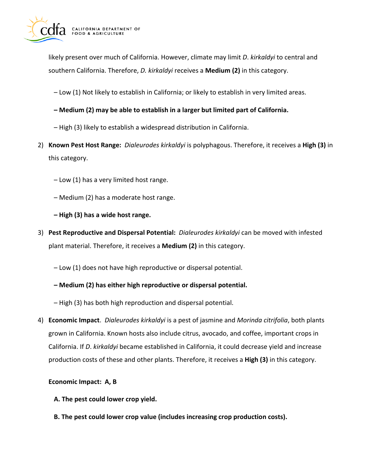

likely present over much of California. However, climate may limit *D*. *kirkaldyi* to central and southern California. Therefore, *D. kirkaldyi* receives a **Medium (2)** in this category.

– Low (1) Not likely to establish in California; or likely to establish in very limited areas.

- **Medium (2) may be able to establish in a larger but limited part of California.**
- High (3) likely to establish a widespread distribution in California.
- 2) **Known Pest Host Range:** *Dialeurodes kirkaldyi* is polyphagous. Therefore, it receives a **High (3)** in this category.
	- Low (1) has a very limited host range.
	- Medium (2) has a moderate host range.
	- **High (3) has a wide host range.**
- 3) **Pest Reproductive and Dispersal Potential:** *Dialeurodes kirkaldyi* can be moved with infested plant material. Therefore, it receives a **Medium (2)** in this category.
	- Low (1) does not have high reproductive or dispersal potential.
	- **Medium (2) has either high reproductive or dispersal potential.**
	- High (3) has both high reproduction and dispersal potential.
- 4) **Economic Impact**. *Dialeurodes kirkaldyi* is a pest of jasmine and *Morinda citrifolia*, both plants grown in California. Known hosts also include citrus, avocado, and coffee, important crops in California. If *D*. *kirkaldyi* became established in California, it could decrease yield and increase production costs of these and other plants. Therefore, it receives a **High (3)** in this category.

#### **Economic Impact: A, B**

- **A. The pest could lower crop yield.**
- **B. The pest could lower crop value (includes increasing crop production costs).**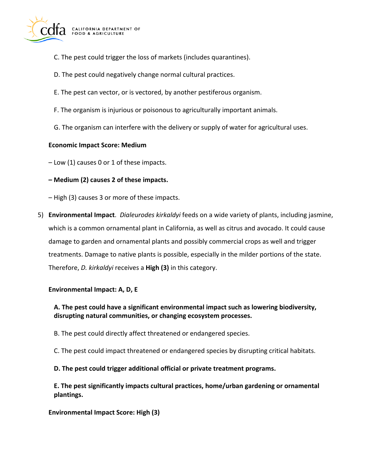

- C. The pest could trigger the loss of markets (includes quarantines).
- D. The pest could negatively change normal cultural practices.
- E. The pest can vector, or is vectored, by another pestiferous organism.
- F. The organism is injurious or poisonous to agriculturally important animals.
- G. The organism can interfere with the delivery or supply of water for agricultural uses.

### **Economic Impact Score: Medium**

– Low (1) causes 0 or 1 of these impacts.

#### **– Medium (2) causes 2 of these impacts.**

– High (3) causes 3 or more of these impacts.

5) **Environmental Impact**. *Dialeurodes kirkaldyi* feeds on a wide variety of plants, including jasmine, which is a common ornamental plant in California, as well as citrus and avocado. It could cause damage to garden and ornamental plants and possibly commercial crops as well and trigger treatments. Damage to native plants is possible, especially in the milder portions of the state. Therefore, *D. kirkaldyi* receives a **High (3)** in this category.

#### **Environmental Impact: A, D, E**

### **A. The pest could have a significant environmental impact such as lowering biodiversity, disrupting natural communities, or changing ecosystem processes.**

- B. The pest could directly affect threatened or endangered species.
- C. The pest could impact threatened or endangered species by disrupting critical habitats.

#### **D. The pest could trigger additional official or private treatment programs.**

**E. The pest significantly impacts cultural practices, home/urban gardening or ornamental plantings.** 

#### **Environmental Impact Score: High (3)**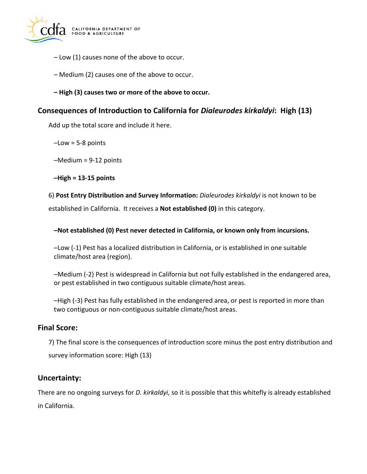

- Low (1) causes none of the above to occur.
- Medium (2) causes one of the above to occur.
- **High (3) causes two or more of the above to occur.**

### **Consequences of Introduction to California for** *Dialeurodes kirkaldyi***: High (13)**

Add up the total score and include it here.

 $-Low = 5-8$  points

–Medium = 9-12 points

**–High = 13-15 points** 

6) **Post Entry Distribution and Survey Information:** *Dialeurodes kirkaldyi* is not known to be

established in California. It receives a **Not established (0)** in this category.

#### **–Not established (0) Pest never detected in California, or known only from incursions.**

–Low (-1) Pest has a localized distribution in California, or is established in one suitable climate/host area (region).

–Medium (-2) Pest is widespread in California but not fully established in the endangered area, or pest established in two contiguous suitable climate/host areas.

–High (-3) Pest has fully established in the endangered area, or pest is reported in more than two contiguous or non-contiguous suitable climate/host areas.

### **Final Score:**

7) The final score is the consequences of introduction score minus the post entry distribution and survey information score: High (13)

### **Uncertainty:**

There are no ongoing surveys for *D. kirkaldyi*, so it is possible that this whitefly is already established in California.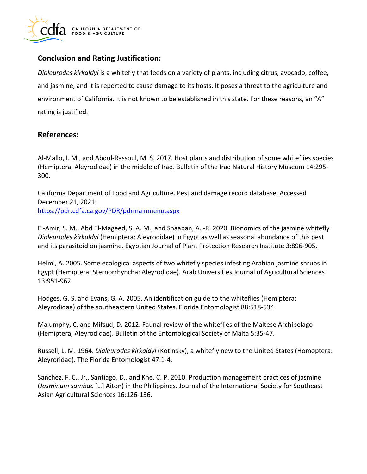

# **Conclusion and Rating Justification:**

*Dialeurodes kirkaldyi* is a whitefly that feeds on a variety of plants, including citrus, avocado, coffee, and jasmine, and it is reported to cause damage to its hosts. It poses a threat to the agriculture and environment of California. It is not known to be established in this state. For these reasons, an "A" rating is justified.

# **References:**

Al-Mallo, I. M., and Abdul-Rassoul, M. S. 2017. Host plants and distribution of some whiteflies species (Hemiptera, Aleyrodidae) in the middle of Iraq. Bulletin of the Iraq Natural History Museum 14:295- 300.

California Department of Food and Agriculture. Pest and damage record database. Accessed December 21, 2021: <https://pdr.cdfa.ca.gov/PDR/pdrmainmenu.aspx>

El-Amir, S. M., Abd El-Mageed, S. A. M., and Shaaban, A. -R. 2020. Bionomics of the jasmine whitefly *Dialeurodes kirkaldyi* (Hemiptera: Aleyrodidae) in Egypt as well as seasonal abundance of this pest and its parasitoid on jasmine. Egyptian Journal of Plant Protection Research Institute 3:896-905.

Helmi, A. 2005. Some ecological aspects of two whitefly species infesting Arabian jasmine shrubs in Egypt (Hemiptera: Sternorrhyncha: Aleyrodidae). Arab Universities Journal of Agricultural Sciences 13:951-962.

Hodges, G. S. and Evans, G. A. 2005. An identification guide to the whiteflies (Hemiptera: Aleyrodidae) of the southeastern United States. Florida Entomologist 88:518-534.

Malumphy, C. and Mifsud, D. 2012. Faunal review of the whiteflies of the Maltese Archipelago (Hemiptera, Aleyrodidae). Bulletin of the Entomological Society of Malta 5:35-47.

Russell, L. M. 1964. *Dialeurodes kirkaldyi* (Kotinsky), a whitefly new to the United States (Homoptera: Aleyroridae). The Florida Entomologist 47:1-4.

Sanchez, F. C., Jr., Santiago, D., and Khe, C. P. 2010. Production management practices of jasmine (*Jasminum sambac* [L.] Aiton) in the Philippines. Journal of the International Society for Southeast Asian Agricultural Sciences 16:126-136.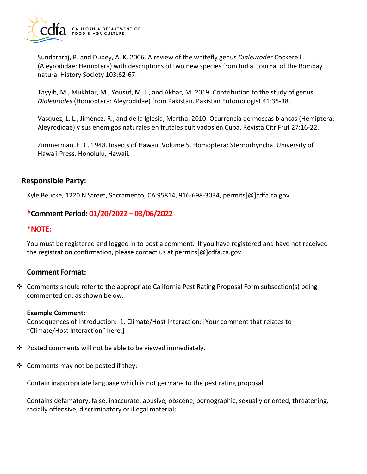

Sundararaj, R. and Dubey, A. K. 2006. A review of the whitefly genus *Dialeurodes* Cockerell (Aleyrodidae: Hemiptera) with descriptions of two new species from India. Journal of the Bombay natural History Society 103:62-67.

Tayyib, M., Mukhtar, M., Yousuf, M. J., and Akbar, M. 2019. Contribution to the study of genus *Dialeurodes* (Homoptera: Aleyrodidae) from Pakistan. Pakistan Entomologist 41:35-38.

Vasquez, L. L., Jiménez, R., and de la Iglesia, Martha. 2010. Ocurrencia de moscas blancas (Hemiptera: Aleyrodidae) y sus enemigos naturales en frutales cultivados en Cuba. Revista CitriFrut 27:16-22.

Zimmerman, E. C. 1948. Insects of Hawaii. Volume 5. Homoptera: Sternorhyncha. University of Hawaii Press, Honolulu, Hawaii.

### **Responsible Party:**

Kyle Beucke, 1220 N Street, Sacramento, CA 95814, 916-698-3034, [permits\[@\]cdfa.ca.gov](https://permits[@]cdfa.ca.gov) 

### **\*Comment Period: 01/20/2022 – 03/06/2022**

#### **\*NOTE:**

You must be registered and logged in to post a comment. If you have registered and have not received the registration confirmation, please contact us at [permits\[@\]cdfa.ca.gov](https://permits[@]cdfa.ca.gov).

#### **Comment Format:**

 Comments should refer to the appropriate California Pest Rating Proposal Form subsection(s) being commented on, as shown below.

#### **Example Comment:**

Consequences of Introduction: 1. Climate/Host Interaction: [Your comment that relates to "Climate/Host Interaction" here.]

- ❖ Posted comments will not be able to be viewed immediately.
- $\triangleleft$  Comments may not be posted if they:

Contain inappropriate language which is not germane to the pest rating proposal;

Contains defamatory, false, inaccurate, abusive, obscene, pornographic, sexually oriented, threatening, racially offensive, discriminatory or illegal material;